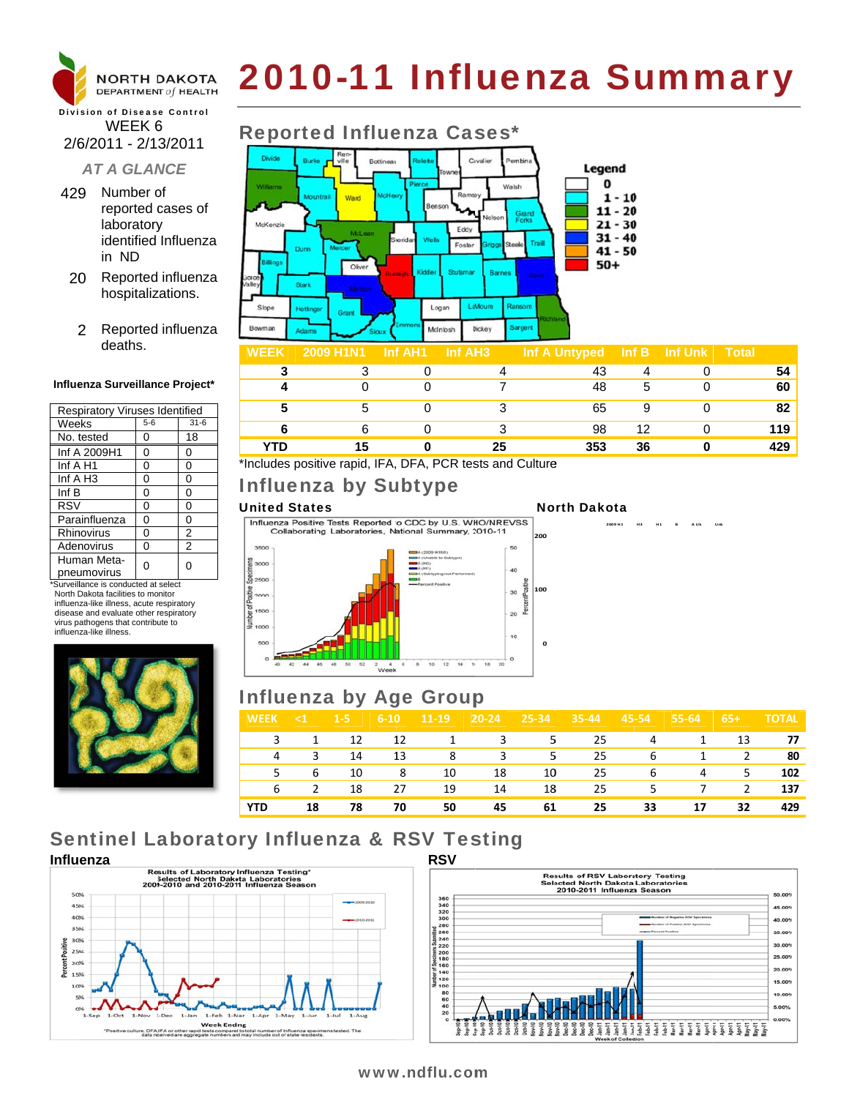

# 2010-11 Influenza Summary

### **Division of Disease Control** WEEK 6 2/6/2011 - 2/13/2011

### **AT A GLANCE**

- 429 Number of reported cases of laboratory identified Influenza in ND
- 20 Reported influenza hospitalizations.
	- 2 Reported influenza deaths.

### Influenza Surveillance Project\*

| <b>Respiratory Viruses Identified</b> |       |                |  |  |  |  |
|---------------------------------------|-------|----------------|--|--|--|--|
| Weeks                                 | $5-6$ | $31 - 6$       |  |  |  |  |
| No. tested                            | 0     | 18             |  |  |  |  |
| Inf A 2009H1                          | 0     | 0              |  |  |  |  |
| Inf A H1                              | 0     | 0              |  |  |  |  |
| Inf A H <sub>3</sub>                  | 0     | 0              |  |  |  |  |
| Inf B                                 | 0     | 0              |  |  |  |  |
| <b>RSV</b>                            | 0     | 0              |  |  |  |  |
| Parainfluenza                         | 0     | 0              |  |  |  |  |
| Rhinovirus                            | 0     | 2              |  |  |  |  |
| Adenovirus                            | 0     | $\overline{2}$ |  |  |  |  |
| Human Meta-<br>pneumovirus            | n     | O              |  |  |  |  |
|                                       |       |                |  |  |  |  |

\*Surveillance is conducted at select North Dakota facilities to monitor influenza-like illness, acute respiratory disease and evaluate other respiratory virus pathogens that contribute to influenza-like illness



# **Reported Influenza Cases\***



| <b>WEEK</b> | <b>2009 HTNT</b> | ⊣nî AH1 | INI AH3. | int A Untyped | ∣ INT BI | ∣ Inf ∪nk i | <b>Protal</b> |
|-------------|------------------|---------|----------|---------------|----------|-------------|---------------|
|             |                  |         |          |               |          |             |               |
|             |                  |         |          | 48            | 5        |             | 60            |
|             |                  |         |          | 65            |          |             | ໑າ            |
|             |                  |         |          | 98            | 12       |             | 119           |
| <b>TD</b>   |                  |         | 25       | 353           | 36       |             | 429           |

\*Includes positive rapid, IFA, DFA, PCR tests and Culture

# **Influenza by Subtype**

### **United States**

Influenza Positive Tests Reported to CDC by U.S. WHO/NREVSS Collaborating Laboratories, National Summary, 2010-11

### **North Dakota**

**H3** 



## **Influenza by Age Group**

| <b>WEEK</b> | $\leq 1$       | $1-5$ | $6 - 10$ | $ 11-19 $ | $20 - 24$               | 25-34 | $35 - 44$         | $45 - 54$ | 55-64 | $65+$          | <b>TOTAL</b> |
|-------------|----------------|-------|----------|-----------|-------------------------|-------|-------------------|-----------|-------|----------------|--------------|
| 3           | 1              | 12    | 12       | 1         | $\overline{\mathbf{3}}$ |       | $5^{\circ}$<br>25 | 4         | 1     | 13             | 77           |
| 4           | 3              | 14    | 13       | 8         | $_{\rm 3}$              | 5.    | 25                | 6         | 1     | 2              | 80           |
| 5.          | 6 <sub>6</sub> | 10    | -8       | 10        | 18                      | 10    | 25                | 6         | 4     | 5 <sup>5</sup> | 102          |
| 6           | $\mathcal{L}$  | 18    | 27       | 19        | 14                      | 18    | 25                | -5        | 7     | 2              | 137          |
| <b>YTD</b>  | 18             | 78    | 70       | 50        | 45                      | 61    | 25                | 33        | 17    | 32             | 429          |

# **Sentinel Laboratory Influenza & RSV Testing**





### www.ndflu.com